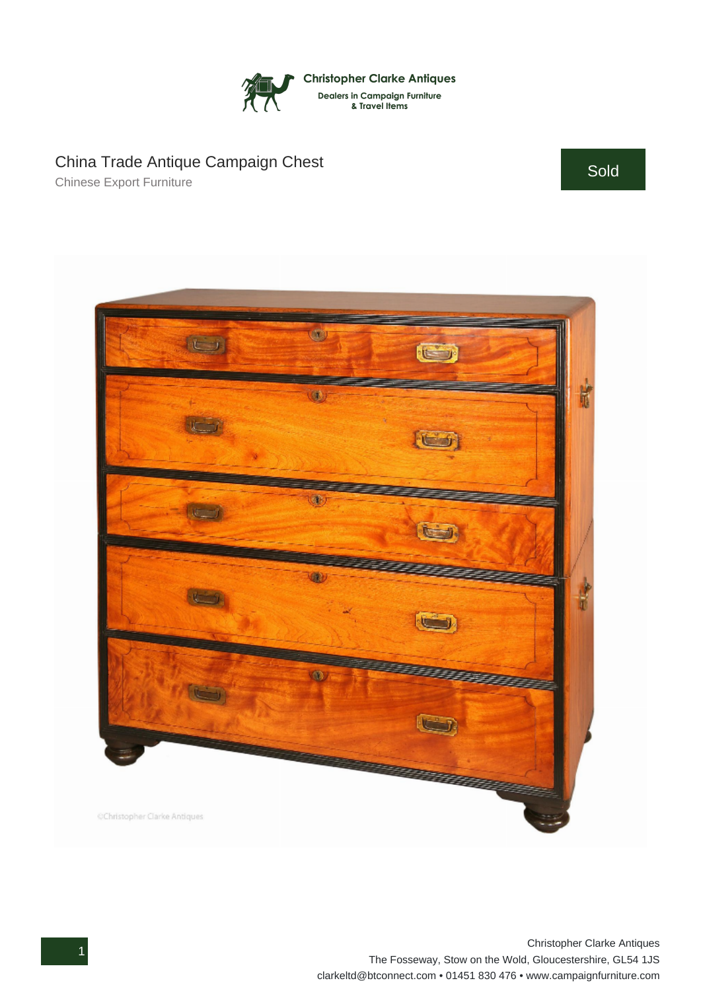

## China Trade Antique Campaign Chest

Chinese Export Furniture

Sold